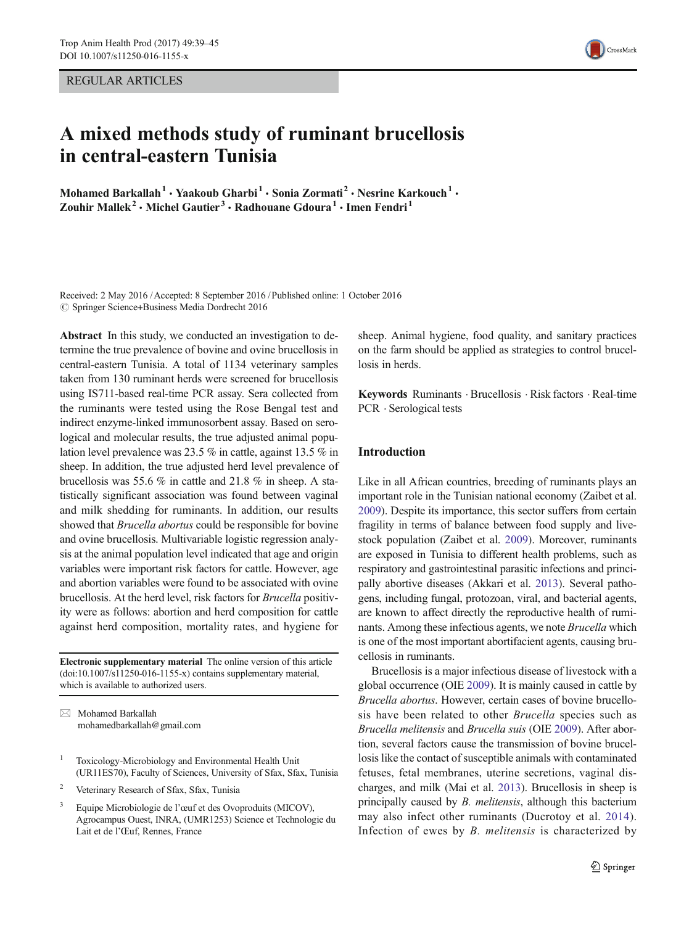REGULAR ARTICLES

# A mixed methods study of ruminant brucellosis in central-eastern Tunisia

Mohamed Barkallah<sup>1</sup> · Yaakoub Gharbi<sup>1</sup> · Sonia Zormati<sup>2</sup> · Nesrine Karkouch<sup>1</sup> · Zouhir Mallek<sup>2</sup> • Michel Gautier<sup>3</sup> • Radhouane Gdoura<sup>1</sup> • Imen Fendri<sup>1</sup>

Received: 2 May 2016 /Accepted: 8 September 2016 /Published online: 1 October 2016  $\oslash$  Springer Science+Business Media Dordrecht 2016

Abstract In this study, we conducted an investigation to determine the true prevalence of bovine and ovine brucellosis in central-eastern Tunisia. A total of 1134 veterinary samples taken from 130 ruminant herds were screened for brucellosis using IS711-based real-time PCR assay. Sera collected from the ruminants were tested using the Rose Bengal test and indirect enzyme-linked immunosorbent assay. Based on serological and molecular results, the true adjusted animal population level prevalence was 23.5 % in cattle, against 13.5 % in sheep. In addition, the true adjusted herd level prevalence of brucellosis was 55.6 % in cattle and 21.8 % in sheep. A statistically significant association was found between vaginal and milk shedding for ruminants. In addition, our results showed that Brucella abortus could be responsible for bovine and ovine brucellosis. Multivariable logistic regression analysis at the animal population level indicated that age and origin variables were important risk factors for cattle. However, age and abortion variables were found to be associated with ovine brucellosis. At the herd level, risk factors for Brucella positivity were as follows: abortion and herd composition for cattle against herd composition, mortality rates, and hygiene for

Electronic supplementary material The online version of this article (doi[:10.1007/s11250-016-1155-x\)](http://dx.doi.org/10.1007/s11250-016-1155-x) contains supplementary material, which is available to authorized users.

 $\boxtimes$  Mohamed Barkallah mohamedbarkallah@gmail.com

- <sup>1</sup> Toxicology-Microbiology and Environmental Health Unit (UR11ES70), Faculty of Sciences, University of Sfax, Sfax, Tunisia
- Veterinary Research of Sfax, Sfax, Tunisia
- Equipe Microbiologie de l'œuf et des Ovoproduits (MICOV), Agrocampus Ouest, INRA, (UMR1253) Science et Technologie du Lait et de l'Œuf, Rennes, France



Keywords Ruminants . Brucellosis . Risk factors . Real-time PCR . Serological tests

# Introduction

Like in all African countries, breeding of ruminants plays an important role in the Tunisian national economy (Zaibet et al. [2009\)](#page-6-0). Despite its importance, this sector suffers from certain fragility in terms of balance between food supply and livestock population (Zaibet et al. [2009](#page-6-0)). Moreover, ruminants are exposed in Tunisia to different health problems, such as respiratory and gastrointestinal parasitic infections and principally abortive diseases (Akkari et al. [2013](#page-6-0)). Several pathogens, including fungal, protozoan, viral, and bacterial agents, are known to affect directly the reproductive health of ruminants. Among these infectious agents, we note Brucella which is one of the most important abortifacient agents, causing brucellosis in ruminants.

Brucellosis is a major infectious disease of livestock with a global occurrence (OIE [2009\)](#page-6-0). It is mainly caused in cattle by Brucella abortus. However, certain cases of bovine brucellosis have been related to other Brucella species such as Brucella melitensis and Brucella suis (OIE [2009](#page-6-0)). After abortion, several factors cause the transmission of bovine brucellosis like the contact of susceptible animals with contaminated fetuses, fetal membranes, uterine secretions, vaginal discharges, and milk (Mai et al. [2013](#page-6-0)). Brucellosis in sheep is principally caused by B. melitensis, although this bacterium may also infect other ruminants (Ducrotoy et al. [2014](#page-6-0)). Infection of ewes by B. melitensis is characterized by

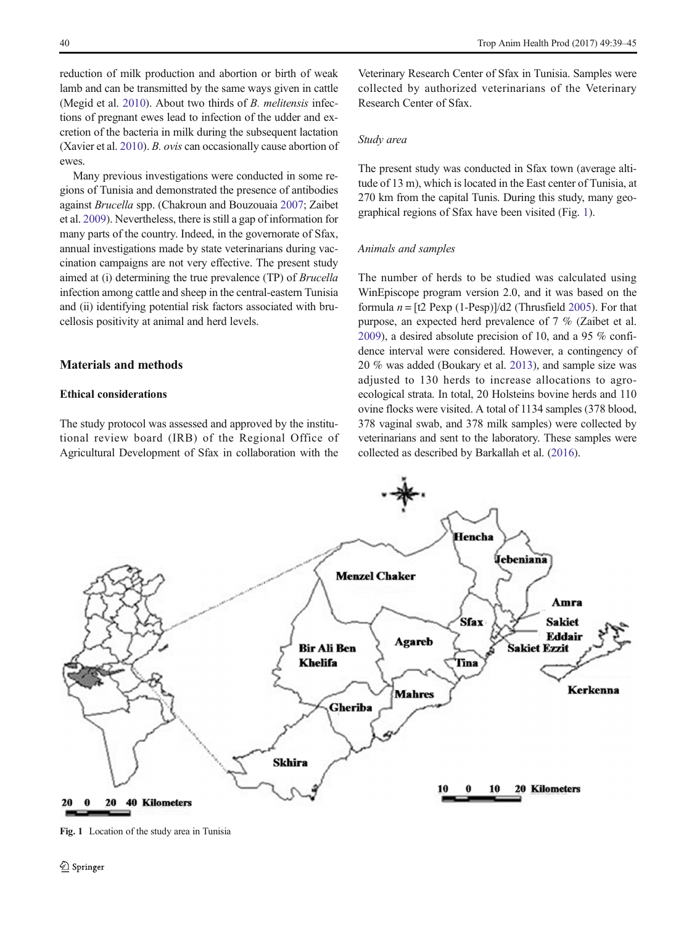reduction of milk production and abortion or birth of weak lamb and can be transmitted by the same ways given in cattle (Megid et al. [2010](#page-6-0)). About two thirds of *B. melitensis* infections of pregnant ewes lead to infection of the udder and excretion of the bacteria in milk during the subsequent lactation (Xavier et al. [2010](#page-6-0)). B. ovis can occasionally cause abortion of ewes.

Many previous investigations were conducted in some regions of Tunisia and demonstrated the presence of antibodies against Brucella spp. (Chakroun and Bouzouaia [2007](#page-6-0); Zaibet et al. [2009\)](#page-6-0). Nevertheless, there is still a gap of information for many parts of the country. Indeed, in the governorate of Sfax, annual investigations made by state veterinarians during vaccination campaigns are not very effective. The present study aimed at (i) determining the true prevalence (TP) of Brucella infection among cattle and sheep in the central-eastern Tunisia and (ii) identifying potential risk factors associated with brucellosis positivity at animal and herd levels.

## Materials and methods

## Ethical considerations

The study protocol was assessed and approved by the institutional review board (IRB) of the Regional Office of Agricultural Development of Sfax in collaboration with the

Veterinary Research Center of Sfax in Tunisia. Samples were collected by authorized veterinarians of the Veterinary Research Center of Sfax.

## Study area

The present study was conducted in Sfax town (average altitude of 13 m), which is located in the East center of Tunisia, at 270 km from the capital Tunis. During this study, many geographical regions of Sfax have been visited (Fig. 1).

#### Animals and samples

The number of herds to be studied was calculated using WinEpiscope program version 2.0, and it was based on the formula  $n = [t2 \text{ Pexp} (1-\text{Pesp})]/d2$  (Thrusfield [2005](#page-6-0)). For that purpose, an expected herd prevalence of 7 % (Zaibet et al. [2009\)](#page-6-0), a desired absolute precision of 10, and a 95 % confidence interval were considered. However, a contingency of 20 % was added (Boukary et al. [2013](#page-6-0)), and sample size was adjusted to 130 herds to increase allocations to agroecological strata. In total, 20 Holsteins bovine herds and 110 ovine flocks were visited. A total of 1134 samples (378 blood, 378 vaginal swab, and 378 milk samples) were collected by veterinarians and sent to the laboratory. These samples were collected as described by Barkallah et al. [\(2016\)](#page-6-0).



Fig. 1 Location of the study area in Tunisia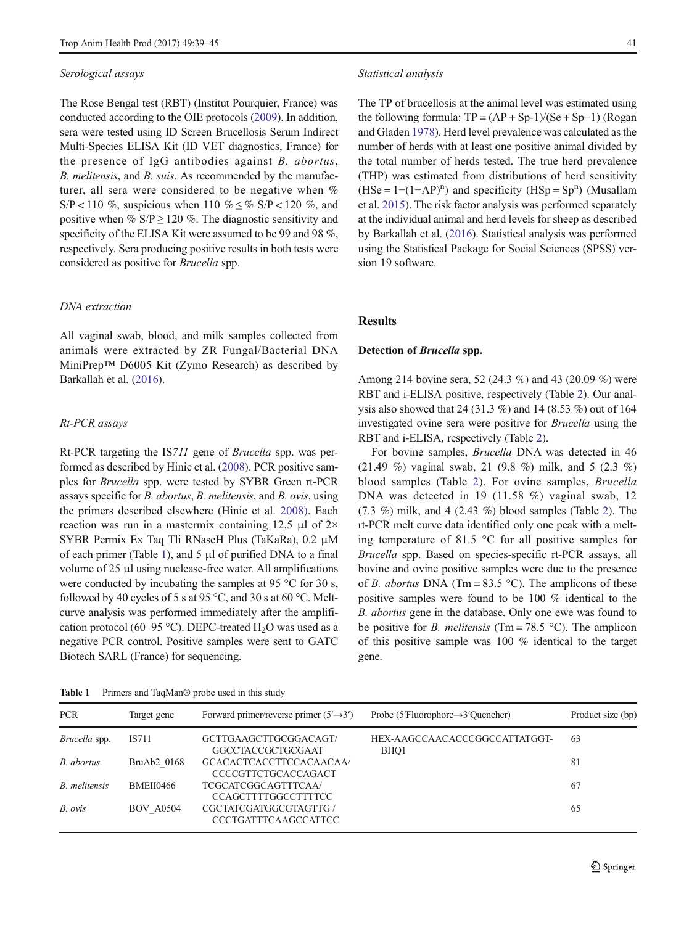#### Serological assays

The Rose Bengal test (RBT) (Institut Pourquier, France) was conducted according to the OIE protocols [\(2009\)](#page-6-0). In addition, sera were tested using ID Screen Brucellosis Serum Indirect Multi-Species ELISA Kit (ID VET diagnostics, France) for the presence of IgG antibodies against B. abortus, B. melitensis, and B. suis. As recommended by the manufacturer, all sera were considered to be negative when % S/P < 110 %, suspicious when 110 %  $\leq$ % S/P < 120 %, and positive when %  $S/P \ge 120$  %. The diagnostic sensitivity and specificity of the ELISA Kit were assumed to be 99 and 98 %, respectively. Sera producing positive results in both tests were considered as positive for Brucella spp.

#### DNA extraction

All vaginal swab, blood, and milk samples collected from animals were extracted by ZR Fungal/Bacterial DNA MiniPrep™ D6005 Kit (Zymo Research) as described by Barkallah et al. ([2016](#page-6-0)).

#### Rt-PCR assays

Rt-PCR targeting the IS711 gene of Brucella spp. was performed as described by Hinic et al. ([2008](#page-6-0)). PCR positive samples for Brucella spp. were tested by SYBR Green rt-PCR assays specific for B. abortus, B. melitensis, and B. ovis, using the primers described elsewhere (Hinic et al. [2008\).](#page-6-0) Each reaction was run in a mastermix containing 12.5 μl of  $2\times$ SYBR Permix Ex Taq Tli RNaseH Plus (TaKaRa), 0.2 μM of each primer (Table 1), and 5  $\mu$ l of purified DNA to a final volume of 25 μl using nuclease-free water. All amplifications were conducted by incubating the samples at 95 °C for 30 s, followed by 40 cycles of 5 s at 95 °C, and 30 s at 60 °C. Meltcurve analysis was performed immediately after the amplification protocol (60–95 °C). DEPC-treated  $H_2O$  was used as a negative PCR control. Positive samples were sent to GATC Biotech SARL (France) for sequencing.

Table 1 Primers and TaqMan® probe used in this study

#### Statistical analysis

The TP of brucellosis at the animal level was estimated using the following formula:  $TP = (AP + Sp-1)/(Se + Sp-1)$  (Rogan and Gladen [1978\)](#page-6-0). Herd level prevalence was calculated as the number of herds with at least one positive animal divided by the total number of herds tested. The true herd prevalence (THP) was estimated from distributions of herd sensitivity  $(HSe = 1-(1-AP)^n)$  and specificity  $(HSp = Sp^n)$  (Musallam et al. [2015](#page-6-0)). The risk factor analysis was performed separately at the individual animal and herd levels for sheep as described by Barkallah et al. [\(2016](#page-6-0)). Statistical analysis was performed using the Statistical Package for Social Sciences (SPSS) version 19 software.

## Results

#### Detection of Brucella spp.

Among 214 bovine sera, 52 (24.3 %) and 43 (20.09 %) were RBT and i-ELISA positive, respectively (Table [2](#page-3-0)). Our analysis also showed that 24 (31.3 %) and 14 (8.53 %) out of 164 investigated ovine sera were positive for Brucella using the RBT and i-ELISA, respectively (Table [2](#page-3-0)).

For bovine samples, Brucella DNA was detected in 46 (21.49 %) vaginal swab, 21 (9.8 %) milk, and 5 (2.3 %) blood samples (Table [2](#page-3-0)). For ovine samples, Brucella DNA was detected in 19 (11.58 %) vaginal swab, 12 (7.3 %) milk, and 4 (2.43 %) blood samples (Table [2](#page-3-0)). The rt-PCR melt curve data identified only one peak with a melting temperature of 81.5 °C for all positive samples for Brucella spp. Based on species-specific rt-PCR assays, all bovine and ovine positive samples were due to the presence of *B. abortus* DNA (Tm = 83.5 °C). The amplicons of these positive samples were found to be 100 % identical to the B. abortus gene in the database. Only one ewe was found to be positive for *B. melitensis* (Tm = 78.5 °C). The amplicon of this positive sample was 100 % identical to the target gene.

| <b>PCR</b>    | Target gene      | Forward primer/reverse primer $(5' \rightarrow 3')$  | Probe (5'Fluorophore $\rightarrow$ 3'Quencher)    | Product size (bp) |
|---------------|------------------|------------------------------------------------------|---------------------------------------------------|-------------------|
| Brucella spp. | IS711            | GCTTGAAGCTTGCGGACAGT/<br>GGCCTACCGCTGCGAAT           | HEX-AAGCCAACACCCGGCCATTATGGT-<br>BHO <sub>1</sub> | 63                |
| B. abortus    | BruAb2 0168      | GCACACTCACCTTCCACAACAA/<br>CCCCGTTCTGCACCAGACT       |                                                   | 81                |
| B. melitensis | <b>BMEII0466</b> | TCGCATCGGCAGTTTCAA/<br><b>CCAGCTTTTGGCCTTTTCC</b>    |                                                   | 67                |
| B. ovis       | <b>BOV A0504</b> | CGCTATCGATGGCGTAGTTG/<br><b>CCCTGATTTCAAGCCATTCC</b> |                                                   | 65                |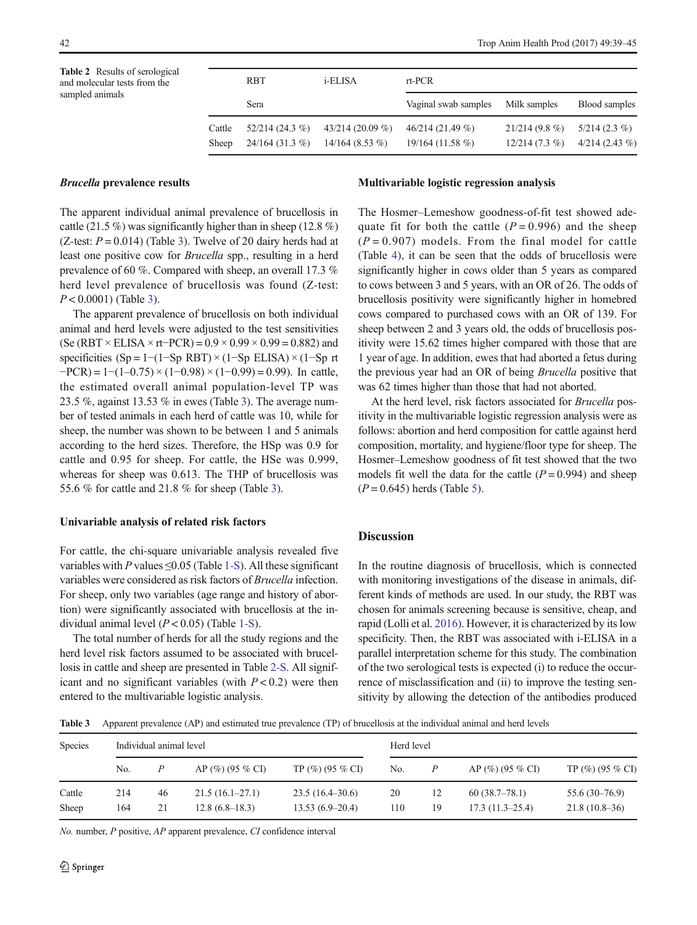<span id="page-3-0"></span>Table 2 Results of serological and molecular tests from the sampled animals

|        | <b>RBT</b><br>i-ELISA |                   | rt-PCR               |                 |                |  |  |  |
|--------|-----------------------|-------------------|----------------------|-----------------|----------------|--|--|--|
|        | Sera                  |                   | Vaginal swab samples | Milk samples    | Blood samples  |  |  |  |
| Cattle | $52/214(24.3\%)$      | $43/214(20.09\%)$ | $46/214(21.49\%)$    | $21/214(9.8\%)$ | $5/214(2.3\%)$ |  |  |  |
| Sheep  | $24/164$ (31.3 %)     | $14/164(8.53\%)$  | $19/164(11.58\%)$    | $12/214(7.3\%)$ | $4/214(2.43\%$ |  |  |  |

## Brucella prevalence results

The apparent individual animal prevalence of brucellosis in cattle (21.5 %) was significantly higher than in sheep (12.8 %) (Z-test:  $P = 0.014$ ) (Table 3). Twelve of 20 dairy herds had at least one positive cow for Brucella spp., resulting in a herd prevalence of 60 %. Compared with sheep, an overall 17.3 % herd level prevalence of brucellosis was found (Z-test:  $P < 0.0001$ ) (Table 3).

The apparent prevalence of brucellosis on both individual animal and herd levels were adjusted to the test sensitivities (Se (RBT × ELISA × rt−PCR) =  $0.9 \times 0.99 \times 0.99 = 0.882$ ) and specificities (Sp = 1–(1–Sp RBT) × (1–Sp ELISA) × (1–Sp rt  $-PCR$ ) = 1–(1–0.75) × (1–0.98) × (1–0.99) = 0.99). In cattle, the estimated overall animal population-level TP was 23.5 %, against 13.53 % in ewes (Table 3). The average number of tested animals in each herd of cattle was 10, while for sheep, the number was shown to be between 1 and 5 animals according to the herd sizes. Therefore, the HSp was 0.9 for cattle and 0.95 for sheep. For cattle, the HSe was 0.999, whereas for sheep was 0.613. The THP of brucellosis was 55.6 % for cattle and 21.8 % for sheep (Table 3).

#### Univariable analysis of related risk factors

For cattle, the chi-square univariable analysis revealed five variables with P values  $\leq$ 0.05 (Table 1-S). All these significant variables were considered as risk factors of Brucella infection. For sheep, only two variables (age range and history of abortion) were significantly associated with brucellosis at the individual animal level  $(P < 0.05)$  (Table 1-S).

The total number of herds for all the study regions and the herd level risk factors assumed to be associated with brucellosis in cattle and sheep are presented in Table 2-S. All significant and no significant variables (with  $P < 0.2$ ) were then entered to the multivariable logistic analysis.

## Multivariable logistic regression analysis

The Hosmer–Lemeshow goodness-of-fit test showed adequate fit for both the cattle  $(P = 0.996)$  and the sheep  $(P = 0.907)$  models. From the final model for cattle (Table [4\)](#page-4-0), it can be seen that the odds of brucellosis were significantly higher in cows older than 5 years as compared to cows between 3 and 5 years, with an OR of 26. The odds of brucellosis positivity were significantly higher in homebred cows compared to purchased cows with an OR of 139. For sheep between 2 and 3 years old, the odds of brucellosis positivity were 15.62 times higher compared with those that are 1 year of age. In addition, ewes that had aborted a fetus during the previous year had an OR of being Brucella positive that was 62 times higher than those that had not aborted.

At the herd level, risk factors associated for Brucella positivity in the multivariable logistic regression analysis were as follows: abortion and herd composition for cattle against herd composition, mortality, and hygiene/floor type for sheep. The Hosmer–Lemeshow goodness of fit test showed that the two models fit well the data for the cattle  $(P = 0.994)$  and sheep  $(P = 0.645)$  $(P = 0.645)$  $(P = 0.645)$  herds (Table 5).

## **Discussion**

In the routine diagnosis of brucellosis, which is connected with monitoring investigations of the disease in animals, different kinds of methods are used. In our study, the RBT was chosen for animals screening because is sensitive, cheap, and rapid (Lolli et al. [2016](#page-6-0)). However, it is characterized by its low specificity. Then, the RBT was associated with i-ELISA in a parallel interpretation scheme for this study. The combination of the two serological tests is expected (i) to reduce the occurrence of misclassification and (ii) to improve the testing sensitivity by allowing the detection of the antibodies produced

Table 3 Apparent prevalence (AP) and estimated true prevalence (TP) of brucellosis at the individual animal and herd levels

| <b>Species</b> |     | Individual animal level |                    |                     |     |    | Herd level         |                     |  |  |  |
|----------------|-----|-------------------------|--------------------|---------------------|-----|----|--------------------|---------------------|--|--|--|
|                | No. |                         | $AP$ (%) (95 % CI) | TP $(\%)$ (95 % CI) | No. |    | $AP$ (%) (95 % CI) | TP $(\%)$ (95 % CI) |  |  |  |
| Cattle         | 214 | 46                      | $21.5(16.1-27.1)$  | $23.5(16.4 - 30.6)$ | 20  | 12 | $60(38.7-78.1)$    | $55.6(30-76.9)$     |  |  |  |
| Sheep          | 164 | 21                      | $12.8(6.8-18.3)$   | $13.53(6.9-20.4)$   | 110 | 19 | $17.3(11.3-25.4)$  | $21.8(10.8-36)$     |  |  |  |

No. number, P positive, AP apparent prevalence, CI confidence interval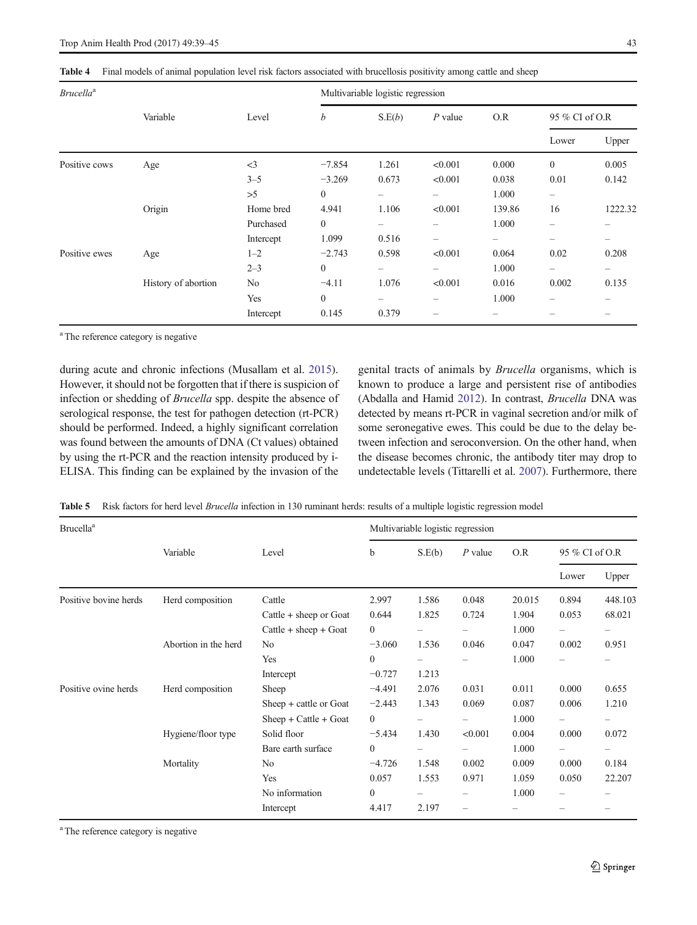<span id="page-4-0"></span>

|  | Table 4 Final models of animal population level risk factors associated with brucellosis positivity among cattle and sheep |  |  |  |  |
|--|----------------------------------------------------------------------------------------------------------------------------|--|--|--|--|
|--|----------------------------------------------------------------------------------------------------------------------------|--|--|--|--|

| Brucella <sup>a</sup> |                     | Level     | Multivariable logistic regression |                          |                          |        |                   |         |  |
|-----------------------|---------------------|-----------|-----------------------------------|--------------------------|--------------------------|--------|-------------------|---------|--|
|                       | Variable            |           | b                                 | S.E(b)                   | $P$ value                | O.R    | 95 % CI of O.R    |         |  |
|                       |                     |           |                                   |                          |                          |        | Lower             | Upper   |  |
| Positive cows         | Age                 | $\leq$ 3  | $-7.854$                          | 1.261                    | < 0.001                  | 0.000  | $\mathbf{0}$      | 0.005   |  |
|                       |                     | $3 - 5$   | $-3.269$                          | 0.673                    | < 0.001                  | 0.038  | 0.01              | 0.142   |  |
|                       |                     | >5        | $\mathbf{0}$                      | -                        |                          | 1.000  |                   |         |  |
|                       | Origin              | Home bred | 4.941                             | 1.106                    | < 0.001                  | 139.86 | 16                | 1222.32 |  |
|                       |                     | Purchased | $\mathbf{0}$                      | $\qquad \qquad -$        |                          | 1.000  |                   |         |  |
|                       |                     | Intercept | 1.099                             | 0.516                    | $\qquad \qquad -$        | —      |                   | -       |  |
| Positive ewes         | Age                 | $1 - 2$   | $-2.743$                          | 0.598                    | < 0.001                  | 0.064  | 0.02              | 0.208   |  |
|                       |                     | $2 - 3$   | $\mathbf{0}$                      | -                        | $\equiv$                 | 1.000  | -                 | -       |  |
|                       | History of abortion | No        | $-4.11$                           | 1.076                    | < 0.001                  | 0.016  | 0.002             | 0.135   |  |
|                       |                     | Yes       | $\boldsymbol{0}$                  | $\overline{\phantom{m}}$ | $\overline{\phantom{0}}$ | 1.000  | $\qquad \qquad -$ |         |  |
|                       |                     | Intercept | 0.145                             | 0.379                    |                          |        |                   |         |  |

<sup>a</sup> The reference category is negative

during acute and chronic infections (Musallam et al. [2015\)](#page-6-0). However, it should not be forgotten that if there is suspicion of infection or shedding of Brucella spp. despite the absence of serological response, the test for pathogen detection (rt-PCR) should be performed. Indeed, a highly significant correlation was found between the amounts of DNA (Ct values) obtained by using the rt-PCR and the reaction intensity produced by i-ELISA. This finding can be explained by the invasion of the

genital tracts of animals by Brucella organisms, which is known to produce a large and persistent rise of antibodies (Abdalla and Hamid [2012\)](#page-6-0). In contrast, Brucella DNA was detected by means rt-PCR in vaginal secretion and/or milk of some seronegative ewes. This could be due to the delay between infection and seroconversion. On the other hand, when the disease becomes chronic, the antibody titer may drop to undetectable levels (Tittarelli et al. [2007](#page-6-0)). Furthermore, there

Table 5 Risk factors for herd level Brucella infection in 130 ruminant herds: results of a multiple logistic regression model

| <b>Brucella</b> <sup>a</sup> |                      |                         | Multivariable logistic regression |        |                          |        |                          |                   |
|------------------------------|----------------------|-------------------------|-----------------------------------|--------|--------------------------|--------|--------------------------|-------------------|
|                              | Variable             | Level                   | b                                 | S.E(b) | $P$ value                | O.R    | 95 % CI of O.R           |                   |
|                              |                      |                         |                                   |        |                          |        | Lower                    | Upper             |
| Positive bovine herds        | Herd composition     | Cattle                  | 2.997                             | 1.586  | 0.048                    | 20.015 | 0.894                    | 448.103           |
|                              |                      | Cattle + sheep or Goat  | 0.644                             | 1.825  | 0.724                    | 1.904  | 0.053                    | 68.021            |
|                              |                      | $Cattle + sheep + Goat$ | $\boldsymbol{0}$                  |        |                          | 1.000  | —                        | $\qquad \qquad -$ |
|                              | Abortion in the herd | No                      | $-3.060$                          | 1.536  | 0.046                    | 0.047  | 0.002                    | 0.951             |
|                              |                      | Yes                     | $\mathbf{0}$                      |        | —                        | 1.000  |                          |                   |
|                              |                      | Intercept               | $-0.727$                          | 1.213  |                          |        |                          |                   |
| Positive ovine herds         | Herd composition     | Sheep                   | $-4.491$                          | 2.076  | 0.031                    | 0.011  | 0.000                    | 0.655             |
|                              |                      | Sheep + cattle or Goat  | $-2.443$                          | 1.343  | 0.069                    | 0.087  | 0.006                    | 1.210             |
|                              |                      | $Sheep + Catle + Goat$  | $\mathbf{0}$                      |        | —                        | 1.000  | —                        | $\qquad \qquad -$ |
|                              | Hygiene/floor type   | Solid floor             | $-5.434$                          | 1.430  | < 0.001                  | 0.004  | 0.000                    | 0.072             |
|                              |                      | Bare earth surface      | $\mathbf{0}$                      |        |                          | 1.000  | $\overline{\phantom{0}}$ |                   |
|                              | Mortality            | No                      | $-4.726$                          | 1.548  | 0.002                    | 0.009  | 0.000                    | 0.184             |
|                              |                      | Yes                     | 0.057                             | 1.553  | 0.971                    | 1.059  | 0.050                    | 22.207            |
|                              |                      | No information          | $\mathbf{0}$                      |        | $\overline{\phantom{0}}$ | 1.000  | $\overline{\phantom{0}}$ |                   |
|                              |                      | Intercept               | 4.417                             | 2.197  | -                        |        |                          |                   |

<sup>a</sup> The reference category is negative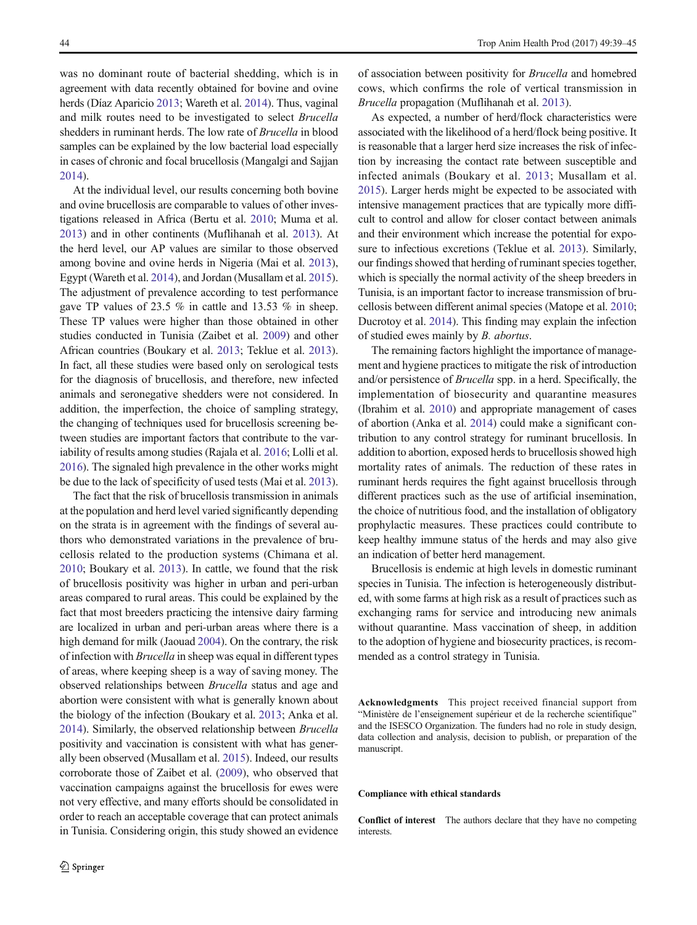was no dominant route of bacterial shedding, which is in agreement with data recently obtained for bovine and ovine herds (Díaz Aparicio [2013](#page-6-0); Wareth et al. [2014\)](#page-6-0). Thus, vaginal and milk routes need to be investigated to select Brucella shedders in ruminant herds. The low rate of Brucella in blood samples can be explained by the low bacterial load especially in cases of chronic and focal brucellosis (Mangalgi and Sajjan [2014\)](#page-6-0).

At the individual level, our results concerning both bovine and ovine brucellosis are comparable to values of other investigations released in Africa (Bertu et al. [2010;](#page-6-0) Muma et al. [2013\)](#page-6-0) and in other continents (Muflihanah et al. [2013](#page-6-0)). At the herd level, our AP values are similar to those observed among bovine and ovine herds in Nigeria (Mai et al. [2013\)](#page-6-0), Egypt (Wareth et al. [2014\)](#page-6-0), and Jordan (Musallam et al. [2015\)](#page-6-0). The adjustment of prevalence according to test performance gave TP values of 23.5 % in cattle and 13.53 % in sheep. These TP values were higher than those obtained in other studies conducted in Tunisia (Zaibet et al. [2009](#page-6-0)) and other African countries (Boukary et al. [2013](#page-6-0); Teklue et al. [2013\)](#page-6-0). In fact, all these studies were based only on serological tests for the diagnosis of brucellosis, and therefore, new infected animals and seronegative shedders were not considered. In addition, the imperfection, the choice of sampling strategy, the changing of techniques used for brucellosis screening between studies are important factors that contribute to the variability of results among studies (Rajala et al. [2016](#page-6-0); Lolli et al. [2016\)](#page-6-0). The signaled high prevalence in the other works might be due to the lack of specificity of used tests (Mai et al. [2013\)](#page-6-0).

The fact that the risk of brucellosis transmission in animals at the population and herd level varied significantly depending on the strata is in agreement with the findings of several authors who demonstrated variations in the prevalence of brucellosis related to the production systems (Chimana et al. [2010;](#page-6-0) Boukary et al. [2013](#page-6-0)). In cattle, we found that the risk of brucellosis positivity was higher in urban and peri-urban areas compared to rural areas. This could be explained by the fact that most breeders practicing the intensive dairy farming are localized in urban and peri-urban areas where there is a high demand for milk (Jaouad [2004\)](#page-6-0). On the contrary, the risk of infection with Brucella in sheep was equal in different types of areas, where keeping sheep is a way of saving money. The observed relationships between Brucella status and age and abortion were consistent with what is generally known about the biology of the infection (Boukary et al. [2013;](#page-6-0) Anka et al. [2014\)](#page-6-0). Similarly, the observed relationship between Brucella positivity and vaccination is consistent with what has generally been observed (Musallam et al. [2015\)](#page-6-0). Indeed, our results corroborate those of Zaibet et al. ([2009](#page-6-0)), who observed that vaccination campaigns against the brucellosis for ewes were not very effective, and many efforts should be consolidated in order to reach an acceptable coverage that can protect animals in Tunisia. Considering origin, this study showed an evidence of association between positivity for Brucella and homebred cows, which confirms the role of vertical transmission in Brucella propagation (Muflihanah et al. [2013](#page-6-0)).

As expected, a number of herd/flock characteristics were associated with the likelihood of a herd/flock being positive. It is reasonable that a larger herd size increases the risk of infection by increasing the contact rate between susceptible and infected animals (Boukary et al. [2013](#page-6-0); Musallam et al. [2015\)](#page-6-0). Larger herds might be expected to be associated with intensive management practices that are typically more difficult to control and allow for closer contact between animals and their environment which increase the potential for exposure to infectious excretions (Teklue et al. [2013\)](#page-6-0). Similarly, our findings showed that herding of ruminant species together, which is specially the normal activity of the sheep breeders in Tunisia, is an important factor to increase transmission of brucellosis between different animal species (Matope et al. [2010;](#page-6-0) Ducrotoy et al. [2014](#page-6-0)). This finding may explain the infection of studied ewes mainly by B. abortus.

The remaining factors highlight the importance of management and hygiene practices to mitigate the risk of introduction and/or persistence of Brucella spp. in a herd. Specifically, the implementation of biosecurity and quarantine measures (Ibrahim et al. [2010\)](#page-6-0) and appropriate management of cases of abortion (Anka et al. [2014](#page-6-0)) could make a significant contribution to any control strategy for ruminant brucellosis. In addition to abortion, exposed herds to brucellosis showed high mortality rates of animals. The reduction of these rates in ruminant herds requires the fight against brucellosis through different practices such as the use of artificial insemination, the choice of nutritious food, and the installation of obligatory prophylactic measures. These practices could contribute to keep healthy immune status of the herds and may also give an indication of better herd management.

Brucellosis is endemic at high levels in domestic ruminant species in Tunisia. The infection is heterogeneously distributed, with some farms at high risk as a result of practices such as exchanging rams for service and introducing new animals without quarantine. Mass vaccination of sheep, in addition to the adoption of hygiene and biosecurity practices, is recommended as a control strategy in Tunisia.

Acknowledgments This project received financial support from "Ministère de l'enseignement supérieur et de la recherche scientifique" and the ISESCO Organization. The funders had no role in study design, data collection and analysis, decision to publish, or preparation of the manuscript.

#### Compliance with ethical standards

Conflict of interest The authors declare that they have no competing interests.